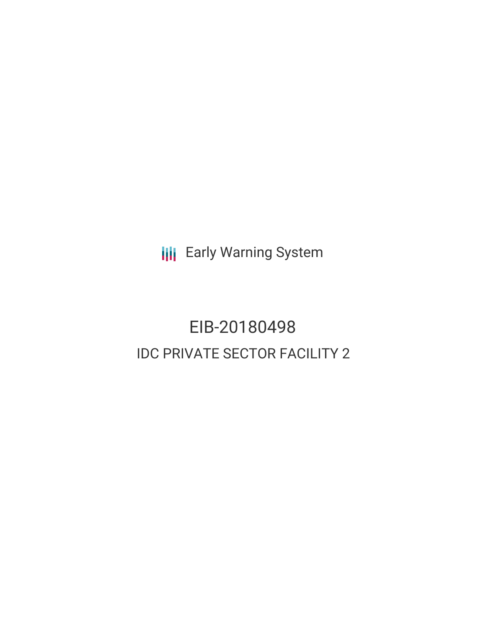**III** Early Warning System

# EIB-20180498 IDC PRIVATE SECTOR FACILITY 2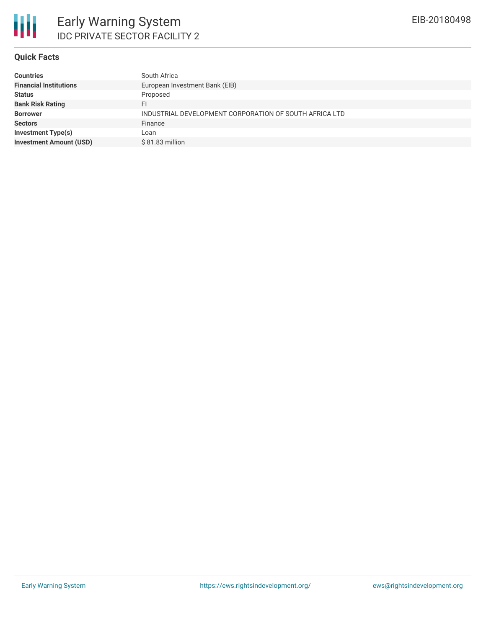#### **Quick Facts**

| <b>Countries</b>               | South Africa                                           |
|--------------------------------|--------------------------------------------------------|
| <b>Financial Institutions</b>  | European Investment Bank (EIB)                         |
| <b>Status</b>                  | Proposed                                               |
| <b>Bank Risk Rating</b>        | FI                                                     |
| <b>Borrower</b>                | INDUSTRIAL DEVELOPMENT CORPORATION OF SOUTH AFRICA LTD |
| <b>Sectors</b>                 | Finance                                                |
| <b>Investment Type(s)</b>      | Loan                                                   |
| <b>Investment Amount (USD)</b> | \$81.83 million                                        |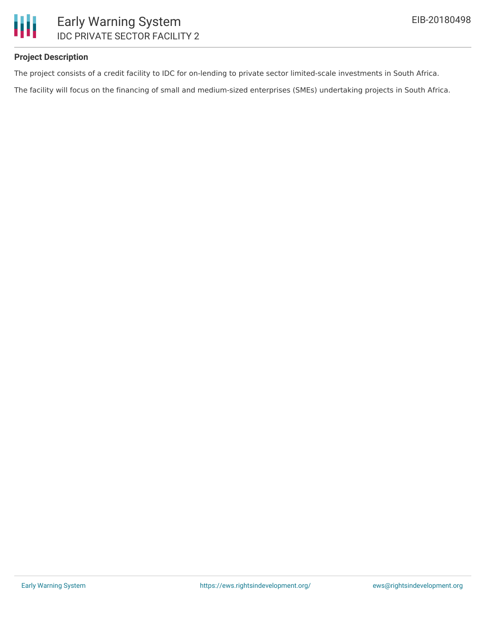# Ш Early Warning System IDC PRIVATE SECTOR FACILITY 2

## **Project Description**

The project consists of a credit facility to IDC for on-lending to private sector limited-scale investments in South Africa.

The facility will focus on the financing of small and medium-sized enterprises (SMEs) undertaking projects in South Africa.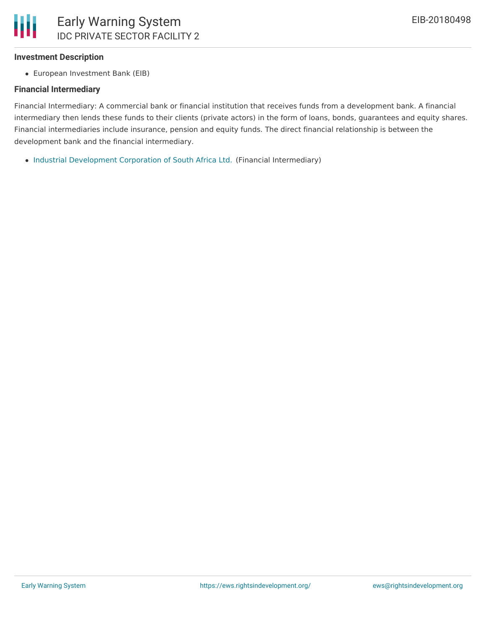#### **Investment Description**

European Investment Bank (EIB)

#### **Financial Intermediary**

Financial Intermediary: A commercial bank or financial institution that receives funds from a development bank. A financial intermediary then lends these funds to their clients (private actors) in the form of loans, bonds, guarantees and equity shares. Financial intermediaries include insurance, pension and equity funds. The direct financial relationship is between the development bank and the financial intermediary.

• Industrial [Development](file:///actor/1044/) Corporation of South Africa Ltd. (Financial Intermediary)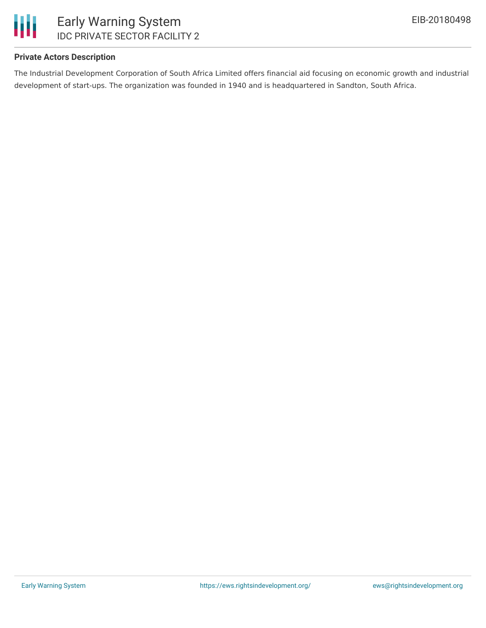

## **Private Actors Description**

The Industrial Development Corporation of South Africa Limited offers financial aid focusing on economic growth and industrial development of start-ups. The organization was founded in 1940 and is headquartered in Sandton, South Africa.